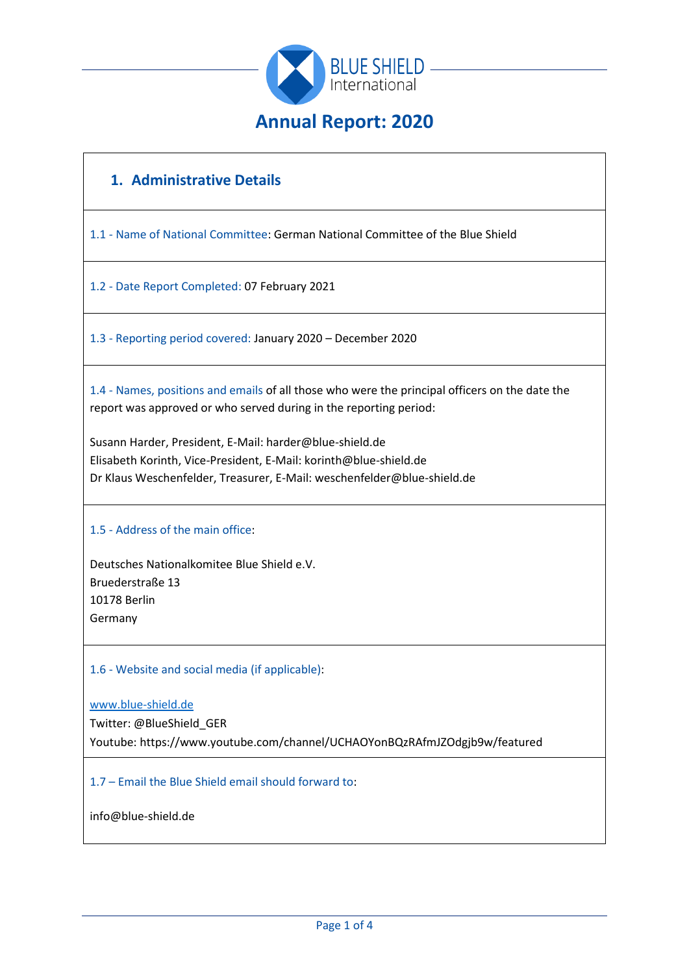

# **1. Administrative Details**

1.1 - Name of National Committee: German National Committee of the Blue Shield

1.2 - Date Report Completed: 07 February 2021

1.3 - Reporting period covered: January 2020 – December 2020

1.4 - Names, positions and emails of all those who were the principal officers on the date the report was approved or who served during in the reporting period:

Susann Harder, President, E-Mail: harder@blue-shield.de Elisabeth Korinth, Vice-President, E-Mail: korinth@blue-shield.de Dr Klaus Weschenfelder, Treasurer, E-Mail: weschenfelder@blue-shield.de

#### 1.5 - Address of the main office:

Deutsches Nationalkomitee Blue Shield e.V. Bruederstraße 13 10178 Berlin Germany

1.6 - Website and social media (if applicable):

[www.blue-shield.de](http://www.blue-shield.de/) Twitter: @BlueShield\_GER Youtube: https://www.youtube.com/channel/UCHAOYonBQzRAfmJZOdgjb9w/featured

1.7 – Email the Blue Shield email should forward to:

info@blue-shield.de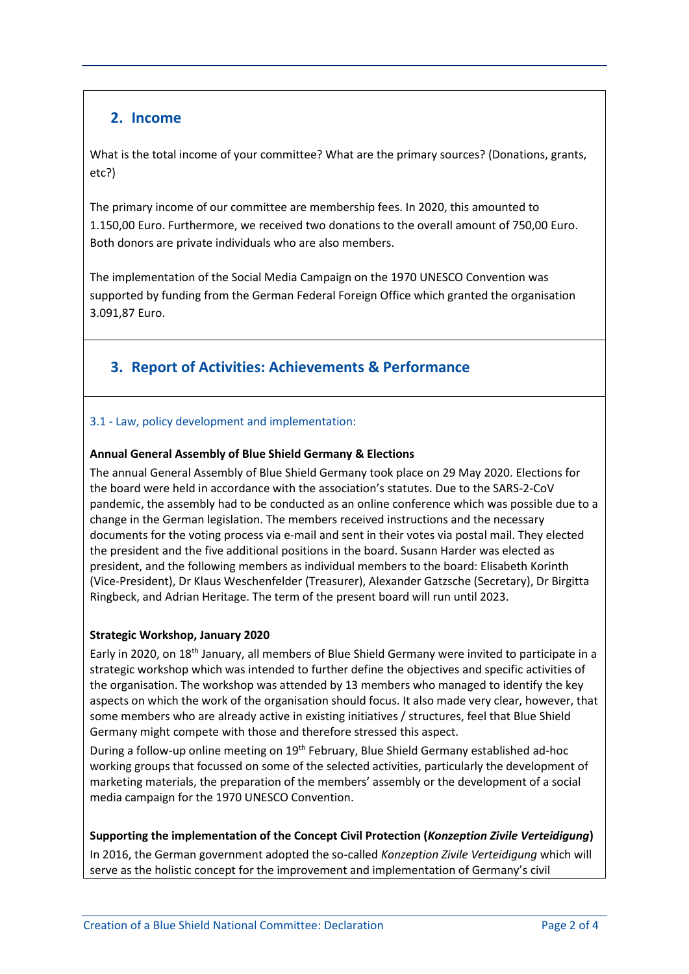## **2. Income**

What is the total income of your committee? What are the primary sources? (Donations, grants, etc?)

The primary income of our committee are membership fees. In 2020, this amounted to 1.150,00 Euro. Furthermore, we received two donations to the overall amount of 750,00 Euro. Both donors are private individuals who are also members.

The implementation of the Social Media Campaign on the 1970 UNESCO Convention was supported by funding from the German Federal Foreign Office which granted the organisation 3.091,87 Euro.

# **3. Report of Activities: Achievements & Performance**

### 3.1 - Law, policy development and implementation:

### **Annual General Assembly of Blue Shield Germany & Elections**

The annual General Assembly of Blue Shield Germany took place on 29 May 2020. Elections for the board were held in accordance with the association's statutes. Due to the SARS-2-CoV pandemic, the assembly had to be conducted as an online conference which was possible due to a change in the German legislation. The members received instructions and the necessary documents for the voting process via e-mail and sent in their votes via postal mail. They elected the president and the five additional positions in the board. Susann Harder was elected as president, and the following members as individual members to the board: Elisabeth Korinth (Vice-President), Dr Klaus Weschenfelder (Treasurer), Alexander Gatzsche (Secretary), Dr Birgitta Ringbeck, and Adrian Heritage. The term of the present board will run until 2023.

### **Strategic Workshop, January 2020**

Early in 2020, on 18th January, all members of Blue Shield Germany were invited to participate in a strategic workshop which was intended to further define the objectives and specific activities of the organisation. The workshop was attended by 13 members who managed to identify the key aspects on which the work of the organisation should focus. It also made very clear, however, that some members who are already active in existing initiatives / structures, feel that Blue Shield Germany might compete with those and therefore stressed this aspect.

During a follow-up online meeting on 19<sup>th</sup> February, Blue Shield Germany established ad-hoc working groups that focussed on some of the selected activities, particularly the development of marketing materials, the preparation of the members' assembly or the development of a social media campaign for the 1970 UNESCO Convention.

### **Supporting the implementation of the Concept Civil Protection (***Konzeption Zivile Verteidigung***)**

In 2016, the German government adopted the so-called *Konzeption Zivile Verteidigung* which will serve as the holistic concept for the improvement and implementation of Germany's civil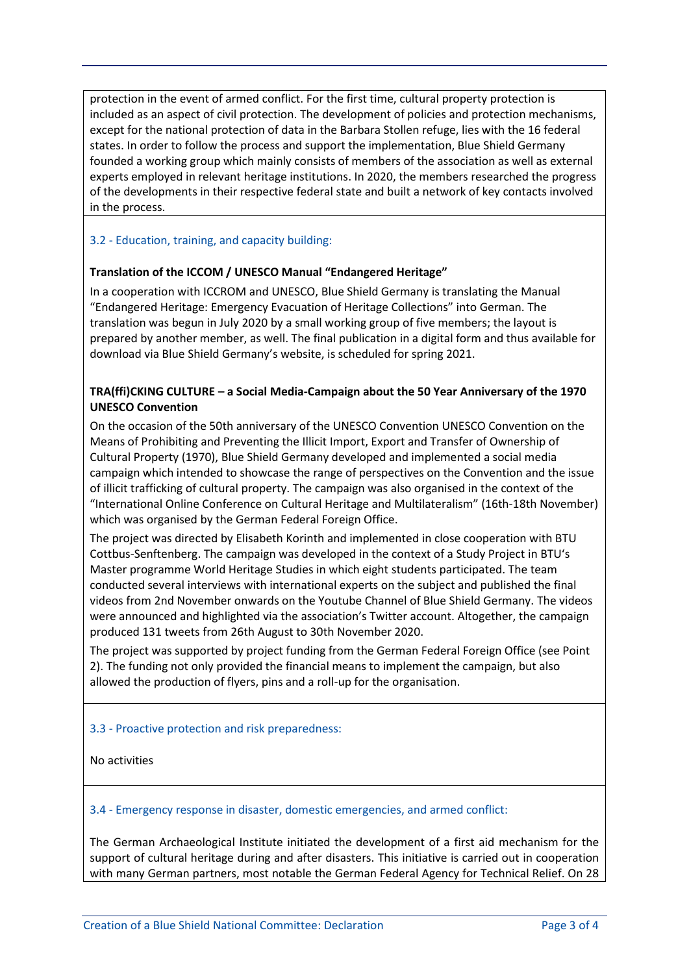protection in the event of armed conflict. For the first time, cultural property protection is included as an aspect of civil protection. The development of policies and protection mechanisms, except for the national protection of data in the Barbara Stollen refuge, lies with the 16 federal states. In order to follow the process and support the implementation, Blue Shield Germany founded a working group which mainly consists of members of the association as well as external experts employed in relevant heritage institutions. In 2020, the members researched the progress of the developments in their respective federal state and built a network of key contacts involved in the process.

#### 3.2 - Education, training, and capacity building:

#### **Translation of the ICCOM / UNESCO Manual "Endangered Heritage"**

In a cooperation with ICCROM and UNESCO, Blue Shield Germany is translating the Manual "Endangered Heritage: Emergency Evacuation of Heritage Collections" into German. The translation was begun in July 2020 by a small working group of five members; the layout is prepared by another member, as well. The final publication in a digital form and thus available for download via Blue Shield Germany's website, is scheduled for spring 2021.

### **TRA(ffi)CKING CULTURE – a Social Media-Campaign about the 50 Year Anniversary of the 1970 UNESCO Convention**

On the occasion of the 50th anniversary of the UNESCO Convention UNESCO Convention on the Means of Prohibiting and Preventing the Illicit Import, Export and Transfer of Ownership of Cultural Property (1970), Blue Shield Germany developed and implemented a social media campaign which intended to showcase the range of perspectives on the Convention and the issue of illicit trafficking of cultural property. The campaign was also organised in the context of the "International Online Conference on Cultural Heritage and Multilateralism" (16th-18th November) which was organised by the German Federal Foreign Office.

The project was directed by Elisabeth Korinth and implemented in close cooperation with BTU Cottbus-Senftenberg. The campaign was developed in the context of a Study Project in BTU's Master programme World Heritage Studies in which eight students participated. The team conducted several interviews with international experts on the subject and published the final videos from 2nd November onwards on the Youtube Channel of Blue Shield Germany. The videos were announced and highlighted via the association's Twitter account. Altogether, the campaign produced 131 tweets from 26th August to 30th November 2020.

The project was supported by project funding from the German Federal Foreign Office (see Point 2). The funding not only provided the financial means to implement the campaign, but also allowed the production of flyers, pins and a roll-up for the organisation.

#### 3.3 - Proactive protection and risk preparedness:

No activities

#### 3.4 - Emergency response in disaster, domestic emergencies, and armed conflict:

The German Archaeological Institute initiated the development of a first aid mechanism for the support of cultural heritage during and after disasters. This initiative is carried out in cooperation with many German partners, most notable the German Federal Agency for Technical Relief. On 28